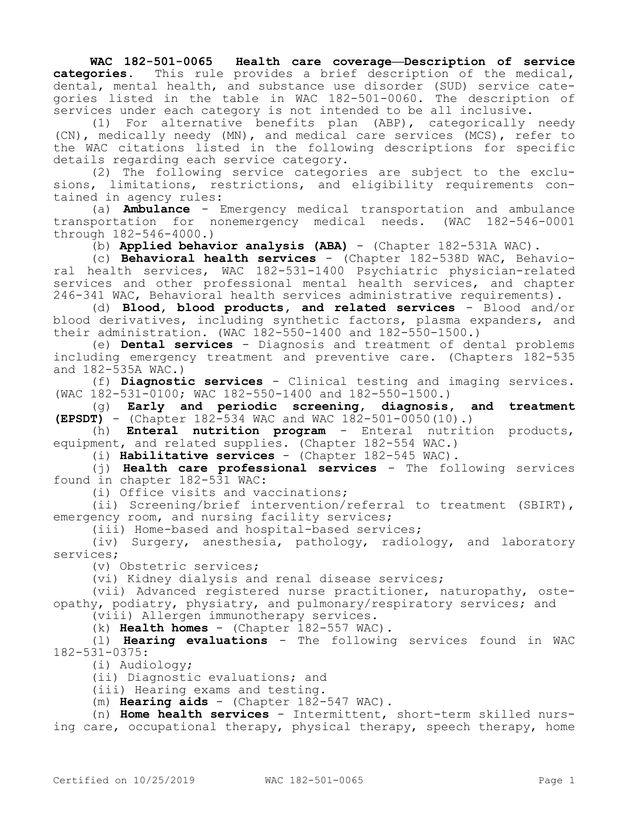**WAC 182-501-0065 Health care coverage—Description of service categories.** This rule provides a brief description of the medical, dental, mental health, and substance use disorder (SUD) service categories listed in the table in WAC 182-501-0060. The description of services under each category is not intended to be all inclusive.

(1) For alternative benefits plan (ABP), categorically needy (CN), medically needy (MN), and medical care services (MCS), refer to the WAC citations listed in the following descriptions for specific details regarding each service category.

(2) The following service categories are subject to the exclusions, limitations, restrictions, and eligibility requirements contained in agency rules:

(a) **Ambulance** - Emergency medical transportation and ambulance transportation for nonemergency medical needs. (WAC 182-546-0001 through 182-546-4000.)

(b) **Applied behavior analysis (ABA)** - (Chapter 182-531A WAC).

(c) **Behavioral health services** - (Chapter 182-538D WAC, Behavioral health services, WAC 182-531-1400 Psychiatric physician-related services and other professional mental health services, and chapter 246-341 WAC, Behavioral health services administrative requirements).

(d) **Blood, blood products, and related services** - Blood and/or blood derivatives, including synthetic factors, plasma expanders, and their administration. (WAC 182-550-1400 and 182-550-1500.)

(e) **Dental services** - Diagnosis and treatment of dental problems including emergency treatment and preventive care. (Chapters 182-535 and 182-535A WAC.)

(f) **Diagnostic services** - Clinical testing and imaging services. (WAC 182-531-0100; WAC 182-550-1400 and 182-550-1500.)

(g) **Early and periodic screening, diagnosis, and treatment (EPSDT)** - (Chapter 182-534 WAC and WAC 182-501-0050(10).)

(h) **Enteral nutrition program** - Enteral nutrition products, equipment, and related supplies. (Chapter 182-554 WAC.)

(i) **Habilitative services** - (Chapter 182-545 WAC).

(j) **Health care professional services** - The following services found in chapter 182-531 WAC:

(i) Office visits and vaccinations;

(ii) Screening/brief intervention/referral to treatment (SBIRT), emergency room, and nursing facility services;

(iii) Home-based and hospital-based services;

(iv) Surgery, anesthesia, pathology, radiology, and laboratory services;

(v) Obstetric services;

(vi) Kidney dialysis and renal disease services;

(vii) Advanced registered nurse practitioner, naturopathy, osteopathy, podiatry, physiatry, and pulmonary/respiratory services; and

(viii) Allergen immunotherapy services.

(k) **Health homes** - (Chapter 182-557 WAC).

(l) **Hearing evaluations** - The following services found in WAC 182-531-0375:

(i) Audiology;

(ii) Diagnostic evaluations; and

(iii) Hearing exams and testing.

(m) **Hearing aids** - (Chapter 182-547 WAC).

(n) **Home health services** - Intermittent, short-term skilled nursing care, occupational therapy, physical therapy, speech therapy, home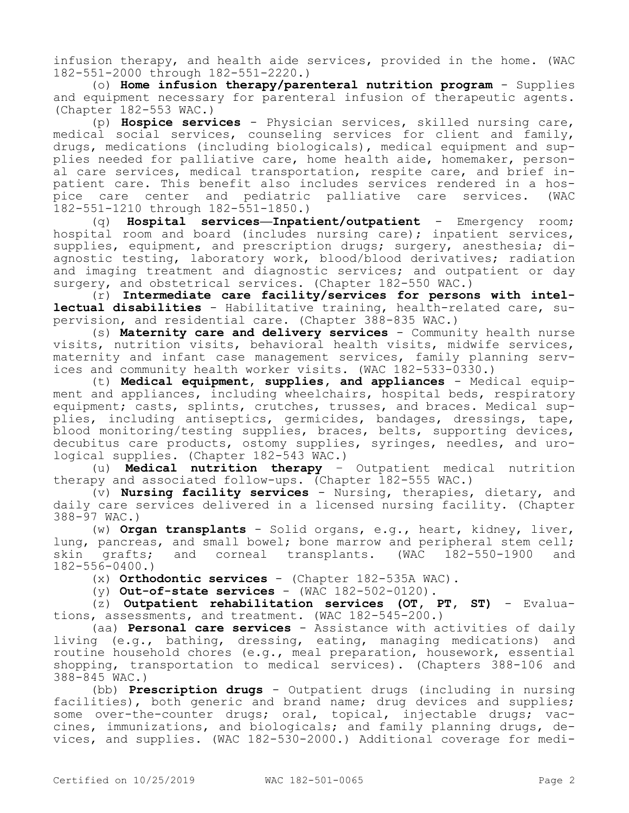infusion therapy, and health aide services, provided in the home. (WAC 182-551-2000 through 182-551-2220.)

(o) **Home infusion therapy/parenteral nutrition program** - Supplies and equipment necessary for parenteral infusion of therapeutic agents. (Chapter 182-553 WAC.)

(p) **Hospice services** - Physician services, skilled nursing care, medical social services, counseling services for client and family, drugs, medications (including biologicals), medical equipment and supplies needed for palliative care, home health aide, homemaker, personal care services, medical transportation, respite care, and brief inpatient care. This benefit also includes services rendered in a hospice care center and pediatric palliative care services. (WAC 182-551-1210 through 182-551-1850.)

(q) **Hospital services—Inpatient/outpatient** - Emergency room; hospital room and board (includes nursing care); inpatient services, supplies, equipment, and prescription drugs; surgery, anesthesia; diagnostic testing, laboratory work, blood/blood derivatives; radiation and imaging treatment and diagnostic services; and outpatient or day surgery, and obstetrical services. (Chapter 182-550 WAC.)

(r) **Intermediate care facility/services for persons with intellectual disabilities** - Habilitative training, health-related care, supervision, and residential care. (Chapter 388-835 WAC.)

(s) **Maternity care and delivery services** - Community health nurse visits, nutrition visits, behavioral health visits, midwife services, maternity and infant case management services, family planning services and community health worker visits. (WAC 182-533-0330.)

(t) **Medical equipment, supplies, and appliances** - Medical equipment and appliances, including wheelchairs, hospital beds, respiratory equipment; casts, splints, crutches, trusses, and braces. Medical supplies, including antiseptics, germicides, bandages, dressings, tape, blood monitoring/testing supplies, braces, belts, supporting devices, decubitus care products, ostomy supplies, syringes, needles, and urological supplies. (Chapter 182-543 WAC.)

(u) **Medical nutrition therapy** – Outpatient medical nutrition therapy and associated follow-ups. (Chapter 182-555 WAC.)

(v) **Nursing facility services** - Nursing, therapies, dietary, and daily care services delivered in a licensed nursing facility. (Chapter 388-97 WAC.)

(w) **Organ transplants** - Solid organs, e.g., heart, kidney, liver, lung, pancreas, and small bowel; bone marrow and peripheral stem cell; skin grafts; and corneal transplants. (WAC 182-550-1900 and 182-556-0400.)

(x) **Orthodontic services** - (Chapter 182-535A WAC).

(y) **Out-of-state services** - (WAC 182-502-0120).

(z) **Outpatient rehabilitation services (OT, PT, ST)** - Evaluations, assessments, and treatment. (WAC 182-545-200.)

(aa) **Personal care services** - Assistance with activities of daily living (e.g., bathing, dressing, eating, managing medications) and routine household chores (e.g., meal preparation, housework, essential shopping, transportation to medical services). (Chapters 388-106 and 388-845 WAC.)

(bb) **Prescription drugs** - Outpatient drugs (including in nursing facilities), both generic and brand name; drug devices and supplies; some over-the-counter drugs; oral, topical, injectable drugs; vaccines, immunizations, and biologicals; and family planning drugs, devices, and supplies. (WAC 182-530-2000.) Additional coverage for medi